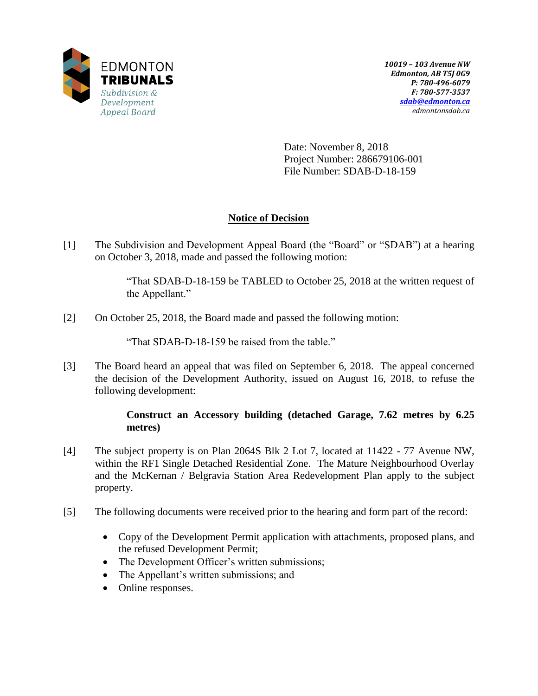

Date: November 8, 2018 Project Number: 286679106-001 File Number: SDAB-D-18-159

# **Notice of Decision**

[1] The Subdivision and Development Appeal Board (the "Board" or "SDAB") at a hearing on October 3, 2018, made and passed the following motion:

> "That SDAB-D-18-159 be TABLED to October 25, 2018 at the written request of the Appellant."

[2] On October 25, 2018, the Board made and passed the following motion:

"That SDAB-D-18-159 be raised from the table."

[3] The Board heard an appeal that was filed on September 6, 2018. The appeal concerned the decision of the Development Authority, issued on August 16, 2018, to refuse the following development:

## **Construct an Accessory building (detached Garage, 7.62 metres by 6.25 metres)**

- [4] The subject property is on Plan 2064S Blk 2 Lot 7, located at 11422 77 Avenue NW, within the RF1 Single Detached Residential Zone. The Mature Neighbourhood Overlay and the McKernan / Belgravia Station Area Redevelopment Plan apply to the subject property.
- [5] The following documents were received prior to the hearing and form part of the record:
	- Copy of the Development Permit application with attachments, proposed plans, and the refused Development Permit;
	- The Development Officer's written submissions;
	- The Appellant's written submissions; and
	- Online responses.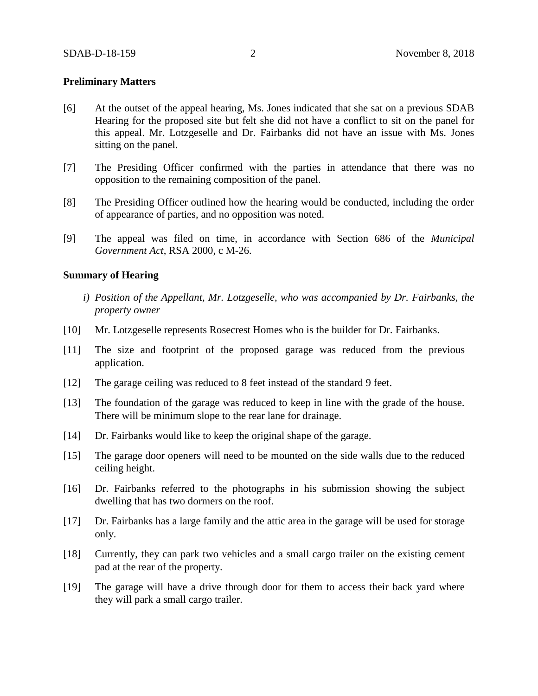### **Preliminary Matters**

- [6] At the outset of the appeal hearing, Ms. Jones indicated that she sat on a previous SDAB Hearing for the proposed site but felt she did not have a conflict to sit on the panel for this appeal. Mr. Lotzgeselle and Dr. Fairbanks did not have an issue with Ms. Jones sitting on the panel.
- [7] The Presiding Officer confirmed with the parties in attendance that there was no opposition to the remaining composition of the panel.
- [8] The Presiding Officer outlined how the hearing would be conducted, including the order of appearance of parties, and no opposition was noted.
- [9] The appeal was filed on time, in accordance with Section 686 of the *Municipal Government Act*, RSA 2000, c M-26.

#### **Summary of Hearing**

- *i) Position of the Appellant, Mr. Lotzgeselle, who was accompanied by Dr. Fairbanks, the property owner*
- [10] Mr. Lotzgeselle represents Rosecrest Homes who is the builder for Dr. Fairbanks.
- [11] The size and footprint of the proposed garage was reduced from the previous application.
- [12] The garage ceiling was reduced to 8 feet instead of the standard 9 feet.
- [13] The foundation of the garage was reduced to keep in line with the grade of the house. There will be minimum slope to the rear lane for drainage.
- [14] Dr. Fairbanks would like to keep the original shape of the garage.
- [15] The garage door openers will need to be mounted on the side walls due to the reduced ceiling height.
- [16] Dr. Fairbanks referred to the photographs in his submission showing the subject dwelling that has two dormers on the roof.
- [17] Dr. Fairbanks has a large family and the attic area in the garage will be used for storage only.
- [18] Currently, they can park two vehicles and a small cargo trailer on the existing cement pad at the rear of the property.
- [19] The garage will have a drive through door for them to access their back yard where they will park a small cargo trailer.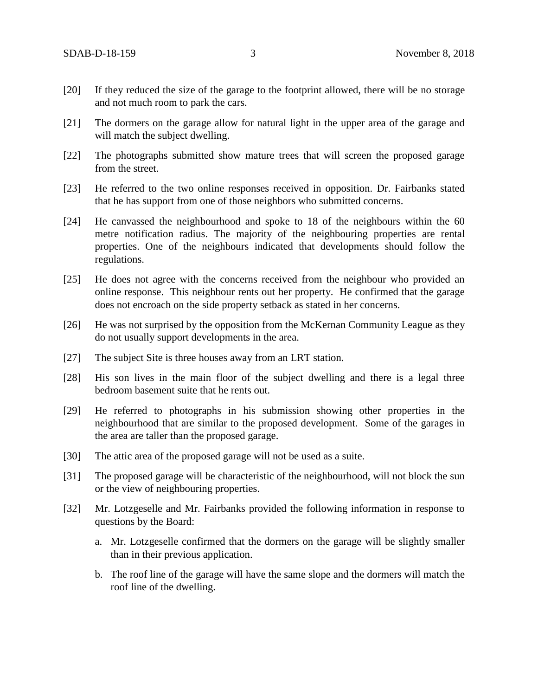- [20] If they reduced the size of the garage to the footprint allowed, there will be no storage and not much room to park the cars.
- [21] The dormers on the garage allow for natural light in the upper area of the garage and will match the subject dwelling.
- [22] The photographs submitted show mature trees that will screen the proposed garage from the street.
- [23] He referred to the two online responses received in opposition. Dr. Fairbanks stated that he has support from one of those neighbors who submitted concerns.
- [24] He canvassed the neighbourhood and spoke to 18 of the neighbours within the 60 metre notification radius. The majority of the neighbouring properties are rental properties. One of the neighbours indicated that developments should follow the regulations.
- [25] He does not agree with the concerns received from the neighbour who provided an online response. This neighbour rents out her property. He confirmed that the garage does not encroach on the side property setback as stated in her concerns.
- [26] He was not surprised by the opposition from the McKernan Community League as they do not usually support developments in the area.
- [27] The subject Site is three houses away from an LRT station.
- [28] His son lives in the main floor of the subject dwelling and there is a legal three bedroom basement suite that he rents out.
- [29] He referred to photographs in his submission showing other properties in the neighbourhood that are similar to the proposed development. Some of the garages in the area are taller than the proposed garage.
- [30] The attic area of the proposed garage will not be used as a suite.
- [31] The proposed garage will be characteristic of the neighbourhood, will not block the sun or the view of neighbouring properties.
- [32] Mr. Lotzgeselle and Mr. Fairbanks provided the following information in response to questions by the Board:
	- a. Mr. Lotzgeselle confirmed that the dormers on the garage will be slightly smaller than in their previous application.
	- b. The roof line of the garage will have the same slope and the dormers will match the roof line of the dwelling.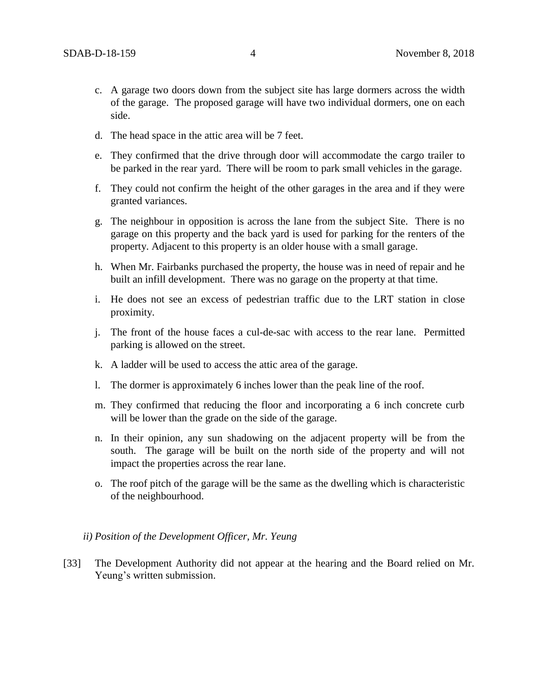- c. A garage two doors down from the subject site has large dormers across the width of the garage. The proposed garage will have two individual dormers, one on each side.
- d. The head space in the attic area will be 7 feet.
- e. They confirmed that the drive through door will accommodate the cargo trailer to be parked in the rear yard. There will be room to park small vehicles in the garage.
- f. They could not confirm the height of the other garages in the area and if they were granted variances.
- g. The neighbour in opposition is across the lane from the subject Site. There is no garage on this property and the back yard is used for parking for the renters of the property. Adjacent to this property is an older house with a small garage.
- h. When Mr. Fairbanks purchased the property, the house was in need of repair and he built an infill development. There was no garage on the property at that time.
- i. He does not see an excess of pedestrian traffic due to the LRT station in close proximity.
- j. The front of the house faces a cul-de-sac with access to the rear lane. Permitted parking is allowed on the street.
- k. A ladder will be used to access the attic area of the garage.
- l. The dormer is approximately 6 inches lower than the peak line of the roof.
- m. They confirmed that reducing the floor and incorporating a 6 inch concrete curb will be lower than the grade on the side of the garage.
- n. In their opinion, any sun shadowing on the adjacent property will be from the south. The garage will be built on the north side of the property and will not impact the properties across the rear lane.
- o. The roof pitch of the garage will be the same as the dwelling which is characteristic of the neighbourhood.

#### *ii) Position of the Development Officer, Mr. Yeung*

[33] The Development Authority did not appear at the hearing and the Board relied on Mr. Yeung's written submission.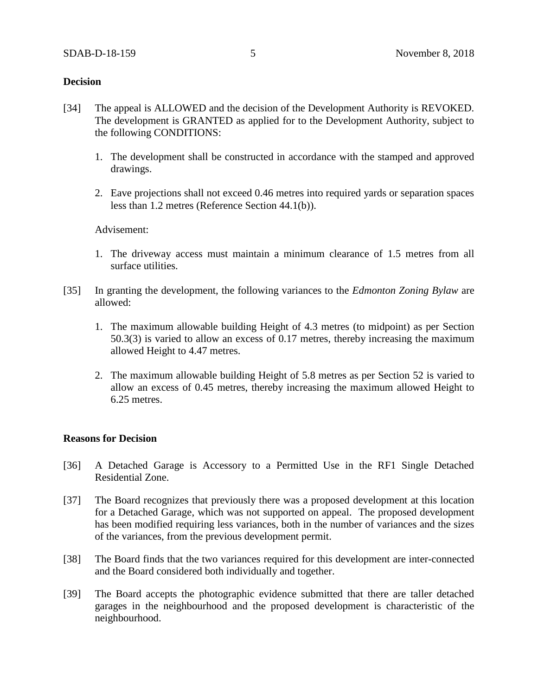### **Decision**

- [34] The appeal is ALLOWED and the decision of the Development Authority is REVOKED. The development is GRANTED as applied for to the Development Authority, subject to the following CONDITIONS:
	- 1. The development shall be constructed in accordance with the stamped and approved drawings.
	- 2. Eave projections shall not exceed 0.46 metres into required yards or separation spaces less than 1.2 metres (Reference Section 44.1(b)).

Advisement:

- 1. The driveway access must maintain a minimum clearance of 1.5 metres from all surface utilities.
- [35] In granting the development, the following variances to the *Edmonton Zoning Bylaw* are allowed:
	- 1. The maximum allowable building Height of 4.3 metres (to midpoint) as per Section 50.3(3) is varied to allow an excess of 0.17 metres, thereby increasing the maximum allowed Height to 4.47 metres.
	- 2. The maximum allowable building Height of 5.8 metres as per Section 52 is varied to allow an excess of 0.45 metres, thereby increasing the maximum allowed Height to 6.25 metres.

#### **Reasons for Decision**

- [36] A Detached Garage is Accessory to a Permitted Use in the RF1 Single Detached Residential Zone.
- [37] The Board recognizes that previously there was a proposed development at this location for a Detached Garage, which was not supported on appeal. The proposed development has been modified requiring less variances, both in the number of variances and the sizes of the variances, from the previous development permit.
- [38] The Board finds that the two variances required for this development are inter-connected and the Board considered both individually and together.
- [39] The Board accepts the photographic evidence submitted that there are taller detached garages in the neighbourhood and the proposed development is characteristic of the neighbourhood.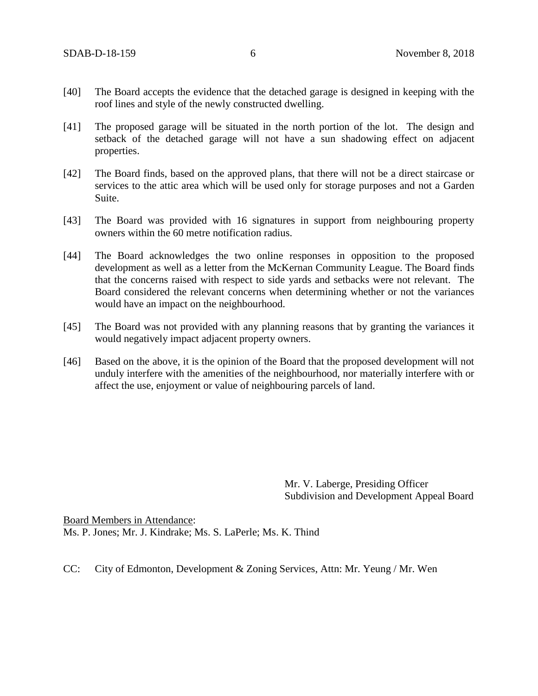- [40] The Board accepts the evidence that the detached garage is designed in keeping with the roof lines and style of the newly constructed dwelling.
- [41] The proposed garage will be situated in the north portion of the lot. The design and setback of the detached garage will not have a sun shadowing effect on adjacent properties.
- [42] The Board finds, based on the approved plans, that there will not be a direct staircase or services to the attic area which will be used only for storage purposes and not a Garden Suite.
- [43] The Board was provided with 16 signatures in support from neighbouring property owners within the 60 metre notification radius.
- [44] The Board acknowledges the two online responses in opposition to the proposed development as well as a letter from the McKernan Community League. The Board finds that the concerns raised with respect to side yards and setbacks were not relevant. The Board considered the relevant concerns when determining whether or not the variances would have an impact on the neighbourhood.
- [45] The Board was not provided with any planning reasons that by granting the variances it would negatively impact adjacent property owners.
- [46] Based on the above, it is the opinion of the Board that the proposed development will not unduly interfere with the amenities of the neighbourhood, nor materially interfere with or affect the use, enjoyment or value of neighbouring parcels of land.

Mr. V. Laberge, Presiding Officer Subdivision and Development Appeal Board

Board Members in Attendance: Ms. P. Jones; Mr. J. Kindrake; Ms. S. LaPerle; Ms. K. Thind

CC: City of Edmonton, Development & Zoning Services, Attn: Mr. Yeung / Mr. Wen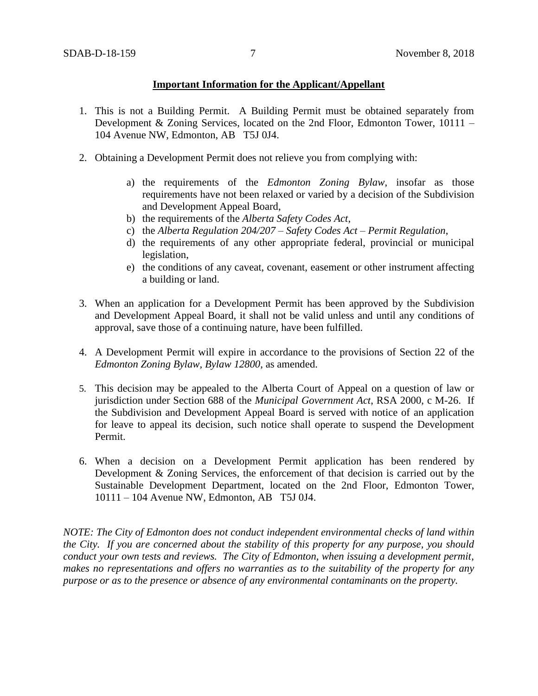## **Important Information for the Applicant/Appellant**

- 1. This is not a Building Permit. A Building Permit must be obtained separately from Development & Zoning Services, located on the 2nd Floor, Edmonton Tower, 10111 – 104 Avenue NW, Edmonton, AB T5J 0J4.
- 2. Obtaining a Development Permit does not relieve you from complying with:
	- a) the requirements of the *Edmonton Zoning Bylaw*, insofar as those requirements have not been relaxed or varied by a decision of the Subdivision and Development Appeal Board,
	- b) the requirements of the *Alberta Safety Codes Act*,
	- c) the *Alberta Regulation 204/207 – Safety Codes Act – Permit Regulation*,
	- d) the requirements of any other appropriate federal, provincial or municipal legislation,
	- e) the conditions of any caveat, covenant, easement or other instrument affecting a building or land.
- 3. When an application for a Development Permit has been approved by the Subdivision and Development Appeal Board, it shall not be valid unless and until any conditions of approval, save those of a continuing nature, have been fulfilled.
- 4. A Development Permit will expire in accordance to the provisions of Section 22 of the *Edmonton Zoning Bylaw, Bylaw 12800*, as amended.
- 5. This decision may be appealed to the Alberta Court of Appeal on a question of law or jurisdiction under Section 688 of the *Municipal Government Act*, RSA 2000, c M-26. If the Subdivision and Development Appeal Board is served with notice of an application for leave to appeal its decision, such notice shall operate to suspend the Development Permit.
- 6. When a decision on a Development Permit application has been rendered by Development & Zoning Services, the enforcement of that decision is carried out by the Sustainable Development Department, located on the 2nd Floor, Edmonton Tower, 10111 – 104 Avenue NW, Edmonton, AB T5J 0J4.

*NOTE: The City of Edmonton does not conduct independent environmental checks of land within the City. If you are concerned about the stability of this property for any purpose, you should conduct your own tests and reviews. The City of Edmonton, when issuing a development permit, makes no representations and offers no warranties as to the suitability of the property for any purpose or as to the presence or absence of any environmental contaminants on the property.*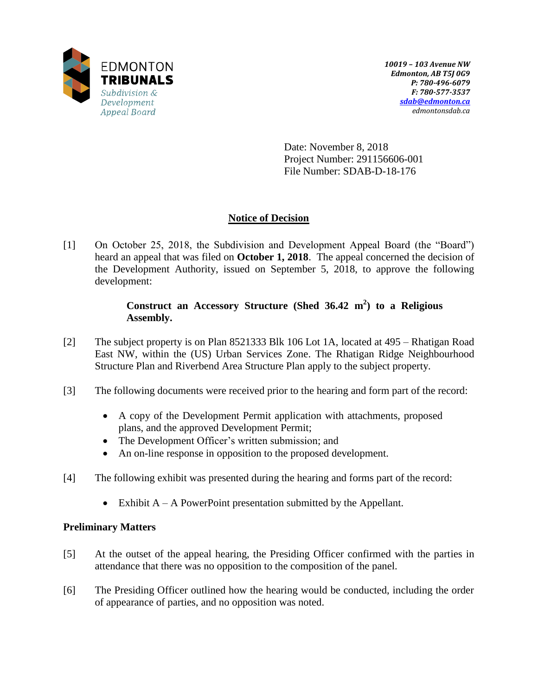

Date: November 8, 2018 Project Number: 291156606-001 File Number: SDAB-D-18-176

# **Notice of Decision**

[1] On October 25, 2018, the Subdivision and Development Appeal Board (the "Board") heard an appeal that was filed on **October 1, 2018**. The appeal concerned the decision of the Development Authority, issued on September 5, 2018, to approve the following development:

## **Construct an Accessory Structure (Shed 36.42 m 2 ) to a Religious Assembly.**

- [2] The subject property is on Plan 8521333 Blk 106 Lot 1A, located at 495 Rhatigan Road East NW, within the (US) Urban Services Zone. The Rhatigan Ridge Neighbourhood Structure Plan and Riverbend Area Structure Plan apply to the subject property.
- [3] The following documents were received prior to the hearing and form part of the record:
	- A copy of the Development Permit application with attachments, proposed plans, and the approved Development Permit;
	- The Development Officer's written submission; and
	- An on-line response in opposition to the proposed development.
- [4] The following exhibit was presented during the hearing and forms part of the record:
	- Exhibit  $A A$  PowerPoint presentation submitted by the Appellant.

## **Preliminary Matters**

- [5] At the outset of the appeal hearing, the Presiding Officer confirmed with the parties in attendance that there was no opposition to the composition of the panel.
- [6] The Presiding Officer outlined how the hearing would be conducted, including the order of appearance of parties, and no opposition was noted.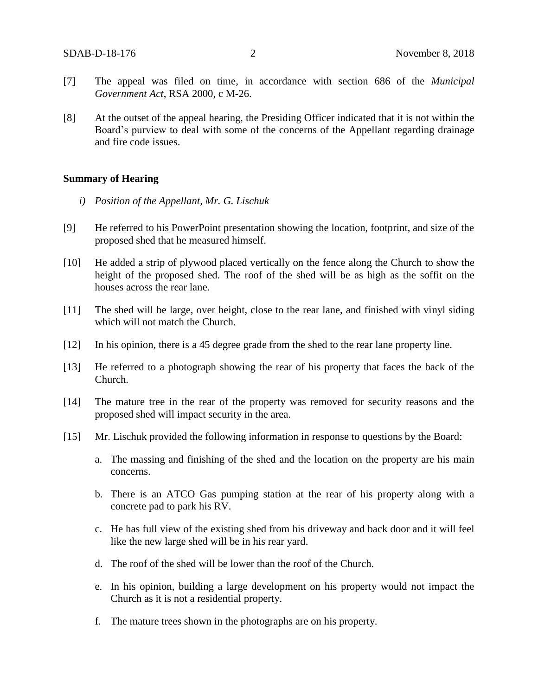- [7] The appeal was filed on time, in accordance with section 686 of the *Municipal Government Act*, RSA 2000, c M-26.
- [8] At the outset of the appeal hearing, the Presiding Officer indicated that it is not within the Board's purview to deal with some of the concerns of the Appellant regarding drainage and fire code issues.

#### **Summary of Hearing**

- *i) Position of the Appellant, Mr. G. Lischuk*
- [9] He referred to his PowerPoint presentation showing the location, footprint, and size of the proposed shed that he measured himself.
- [10] He added a strip of plywood placed vertically on the fence along the Church to show the height of the proposed shed. The roof of the shed will be as high as the soffit on the houses across the rear lane.
- [11] The shed will be large, over height, close to the rear lane, and finished with vinyl siding which will not match the Church.
- [12] In his opinion, there is a 45 degree grade from the shed to the rear lane property line.
- [13] He referred to a photograph showing the rear of his property that faces the back of the Church.
- [14] The mature tree in the rear of the property was removed for security reasons and the proposed shed will impact security in the area.
- [15] Mr. Lischuk provided the following information in response to questions by the Board:
	- a. The massing and finishing of the shed and the location on the property are his main concerns.
	- b. There is an ATCO Gas pumping station at the rear of his property along with a concrete pad to park his RV.
	- c. He has full view of the existing shed from his driveway and back door and it will feel like the new large shed will be in his rear yard.
	- d. The roof of the shed will be lower than the roof of the Church.
	- e. In his opinion, building a large development on his property would not impact the Church as it is not a residential property.
	- f. The mature trees shown in the photographs are on his property.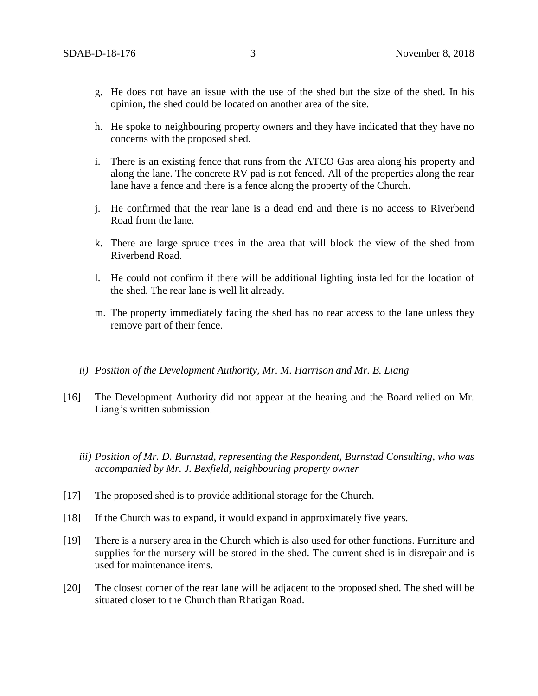- g. He does not have an issue with the use of the shed but the size of the shed. In his opinion, the shed could be located on another area of the site.
- h. He spoke to neighbouring property owners and they have indicated that they have no concerns with the proposed shed.
- i. There is an existing fence that runs from the ATCO Gas area along his property and along the lane. The concrete RV pad is not fenced. All of the properties along the rear lane have a fence and there is a fence along the property of the Church.
- j. He confirmed that the rear lane is a dead end and there is no access to Riverbend Road from the lane.
- k. There are large spruce trees in the area that will block the view of the shed from Riverbend Road.
- l. He could not confirm if there will be additional lighting installed for the location of the shed. The rear lane is well lit already.
- m. The property immediately facing the shed has no rear access to the lane unless they remove part of their fence.
- *ii) Position of the Development Authority, Mr. M. Harrison and Mr. B. Liang*
- [16] The Development Authority did not appear at the hearing and the Board relied on Mr. Liang's written submission.
	- *iii) Position of Mr. D. Burnstad, representing the Respondent, Burnstad Consulting, who was accompanied by Mr. J. Bexfield, neighbouring property owner*
- [17] The proposed shed is to provide additional storage for the Church.
- [18] If the Church was to expand, it would expand in approximately five years.
- [19] There is a nursery area in the Church which is also used for other functions. Furniture and supplies for the nursery will be stored in the shed. The current shed is in disrepair and is used for maintenance items.
- [20] The closest corner of the rear lane will be adjacent to the proposed shed. The shed will be situated closer to the Church than Rhatigan Road.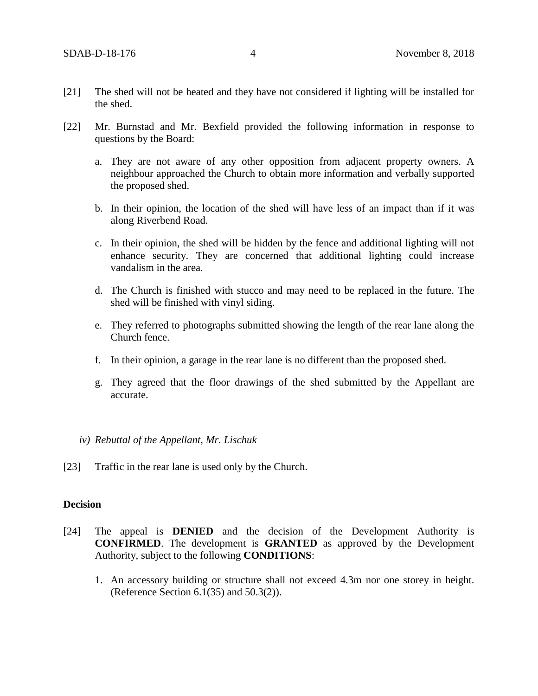- [21] The shed will not be heated and they have not considered if lighting will be installed for the shed.
- [22] Mr. Burnstad and Mr. Bexfield provided the following information in response to questions by the Board:
	- a. They are not aware of any other opposition from adjacent property owners. A neighbour approached the Church to obtain more information and verbally supported the proposed shed.
	- b. In their opinion, the location of the shed will have less of an impact than if it was along Riverbend Road.
	- c. In their opinion, the shed will be hidden by the fence and additional lighting will not enhance security. They are concerned that additional lighting could increase vandalism in the area.
	- d. The Church is finished with stucco and may need to be replaced in the future. The shed will be finished with vinyl siding.
	- e. They referred to photographs submitted showing the length of the rear lane along the Church fence.
	- f. In their opinion, a garage in the rear lane is no different than the proposed shed.
	- g. They agreed that the floor drawings of the shed submitted by the Appellant are accurate.
	- *iv) Rebuttal of the Appellant, Mr. Lischuk*
- [23] Traffic in the rear lane is used only by the Church.

## **Decision**

- [24] The appeal is **DENIED** and the decision of the Development Authority is **CONFIRMED**. The development is **GRANTED** as approved by the Development Authority, subject to the following **CONDITIONS**:
	- 1. An accessory building or structure shall not exceed 4.3m nor one storey in height. (Reference Section 6.1(35) and 50.3(2)).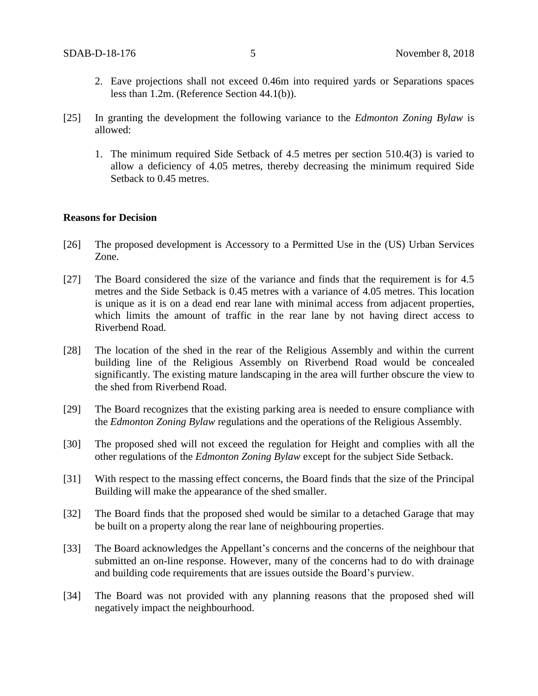- 2. Eave projections shall not exceed 0.46m into required yards or Separations spaces less than 1.2m. (Reference Section 44.1(b)).
- [25] In granting the development the following variance to the *Edmonton Zoning Bylaw* is allowed:
	- 1. The minimum required Side Setback of 4.5 metres per section 510.4(3) is varied to allow a deficiency of 4.05 metres, thereby decreasing the minimum required Side Setback to 0.45 metres.

#### **Reasons for Decision**

- [26] The proposed development is Accessory to a Permitted Use in the (US) Urban Services Zone.
- [27] The Board considered the size of the variance and finds that the requirement is for 4.5 metres and the Side Setback is 0.45 metres with a variance of 4.05 metres. This location is unique as it is on a dead end rear lane with minimal access from adjacent properties, which limits the amount of traffic in the rear lane by not having direct access to Riverbend Road.
- [28] The location of the shed in the rear of the Religious Assembly and within the current building line of the Religious Assembly on Riverbend Road would be concealed significantly. The existing mature landscaping in the area will further obscure the view to the shed from Riverbend Road.
- [29] The Board recognizes that the existing parking area is needed to ensure compliance with the *Edmonton Zoning Bylaw* regulations and the operations of the Religious Assembly.
- [30] The proposed shed will not exceed the regulation for Height and complies with all the other regulations of the *Edmonton Zoning Bylaw* except for the subject Side Setback.
- [31] With respect to the massing effect concerns, the Board finds that the size of the Principal Building will make the appearance of the shed smaller.
- [32] The Board finds that the proposed shed would be similar to a detached Garage that may be built on a property along the rear lane of neighbouring properties.
- [33] The Board acknowledges the Appellant's concerns and the concerns of the neighbour that submitted an on-line response. However, many of the concerns had to do with drainage and building code requirements that are issues outside the Board's purview.
- [34] The Board was not provided with any planning reasons that the proposed shed will negatively impact the neighbourhood.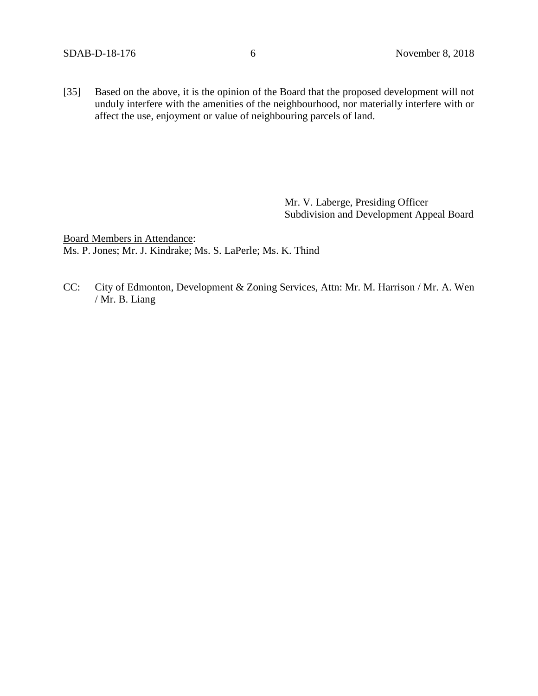[35] Based on the above, it is the opinion of the Board that the proposed development will not unduly interfere with the amenities of the neighbourhood, nor materially interfere with or affect the use, enjoyment or value of neighbouring parcels of land.

> Mr. V. Laberge, Presiding Officer Subdivision and Development Appeal Board

Board Members in Attendance: Ms. P. Jones; Mr. J. Kindrake; Ms. S. LaPerle; Ms. K. Thind

CC: City of Edmonton, Development & Zoning Services, Attn: Mr. M. Harrison / Mr. A. Wen / Mr. B. Liang